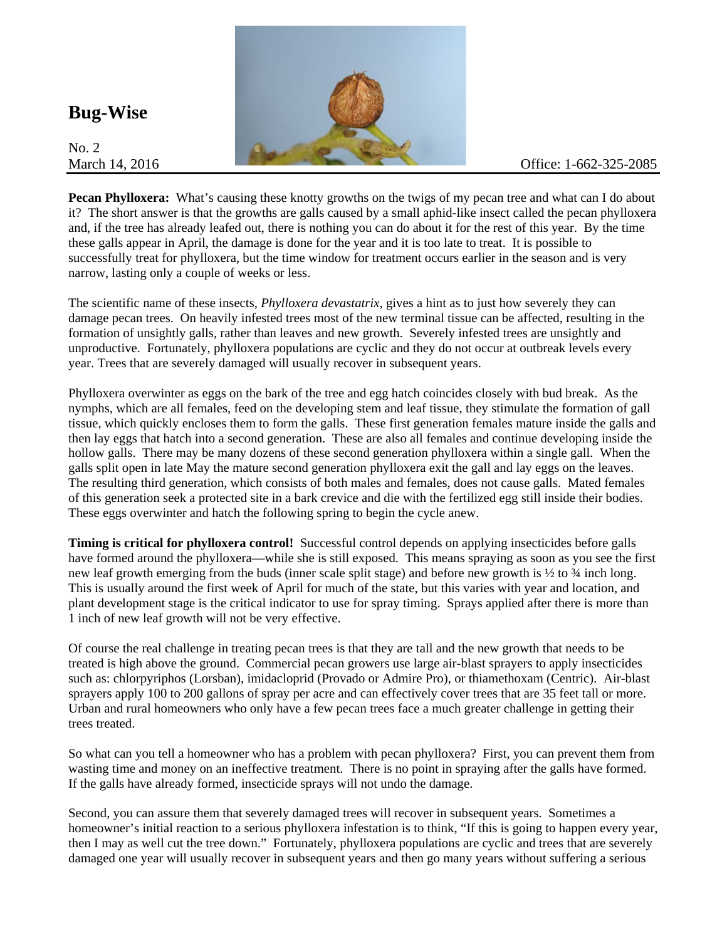**Bug-Wise** 

No. 2



**Pecan Phylloxera:** What's causing these knotty growths on the twigs of my pecan tree and what can I do about it? The short answer is that the growths are galls caused by a small aphid-like insect called the pecan phylloxera and, if the tree has already leafed out, there is nothing you can do about it for the rest of this year. By the time these galls appear in April, the damage is done for the year and it is too late to treat. It is possible to successfully treat for phylloxera, but the time window for treatment occurs earlier in the season and is very narrow, lasting only a couple of weeks or less.

The scientific name of these insects, *Phylloxera devastatrix*, gives a hint as to just how severely they can damage pecan trees. On heavily infested trees most of the new terminal tissue can be affected, resulting in the formation of unsightly galls, rather than leaves and new growth. Severely infested trees are unsightly and unproductive. Fortunately, phylloxera populations are cyclic and they do not occur at outbreak levels every year. Trees that are severely damaged will usually recover in subsequent years.

Phylloxera overwinter as eggs on the bark of the tree and egg hatch coincides closely with bud break. As the nymphs, which are all females, feed on the developing stem and leaf tissue, they stimulate the formation of gall tissue, which quickly encloses them to form the galls. These first generation females mature inside the galls and then lay eggs that hatch into a second generation. These are also all females and continue developing inside the hollow galls. There may be many dozens of these second generation phylloxera within a single gall. When the galls split open in late May the mature second generation phylloxera exit the gall and lay eggs on the leaves. The resulting third generation, which consists of both males and females, does not cause galls. Mated females of this generation seek a protected site in a bark crevice and die with the fertilized egg still inside their bodies. These eggs overwinter and hatch the following spring to begin the cycle anew.

**Timing is critical for phylloxera control!** Successful control depends on applying insecticides before galls have formed around the phylloxera—while she is still exposed. This means spraying as soon as you see the first new leaf growth emerging from the buds (inner scale split stage) and before new growth is  $\frac{1}{2}$  to  $\frac{3}{4}$  inch long. This is usually around the first week of April for much of the state, but this varies with year and location, and plant development stage is the critical indicator to use for spray timing. Sprays applied after there is more than 1 inch of new leaf growth will not be very effective.

Of course the real challenge in treating pecan trees is that they are tall and the new growth that needs to be treated is high above the ground. Commercial pecan growers use large air-blast sprayers to apply insecticides such as: chlorpyriphos (Lorsban), imidacloprid (Provado or Admire Pro), or thiamethoxam (Centric). Air-blast sprayers apply 100 to 200 gallons of spray per acre and can effectively cover trees that are 35 feet tall or more. Urban and rural homeowners who only have a few pecan trees face a much greater challenge in getting their trees treated.

So what can you tell a homeowner who has a problem with pecan phylloxera? First, you can prevent them from wasting time and money on an ineffective treatment. There is no point in spraying after the galls have formed. If the galls have already formed, insecticide sprays will not undo the damage.

Second, you can assure them that severely damaged trees will recover in subsequent years. Sometimes a homeowner's initial reaction to a serious phylloxera infestation is to think, "If this is going to happen every year, then I may as well cut the tree down." Fortunately, phylloxera populations are cyclic and trees that are severely damaged one year will usually recover in subsequent years and then go many years without suffering a serious